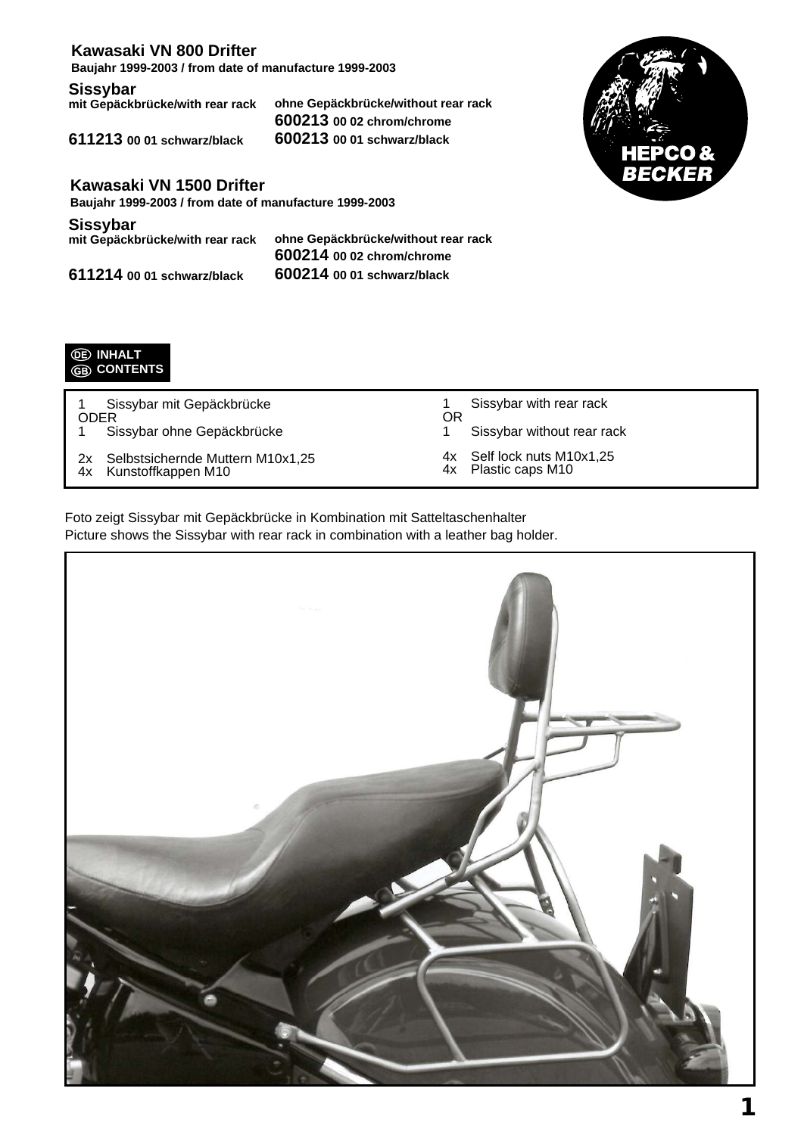## **Kawasaki VN 800 Drifter**

**Baujahr 1999-2003 / from date of manufacture 1999-2003**

**Sissybar**<br>mit Gepäckbrücke/with rear rack

**mit Gepäckbrücke/with rear rack ohne Gepäckbrücke/without rear rack 600213 00 02 chrom/chrome 611213 00 01 schwarz/black 600213 00 01 schwarz/black**



**Kawasaki VN 1500 Drifter**

**Baujahr 1999-2003 / from date of manufacture 1999-2003**

**Sissybar**<br>mit Gepäckbrücke/with rear rack

**mit Gepäckbrücke/with rear rack ohne Gepäckbrücke/without rear rack 600214 00 02 chrom/chrome 611214 00 01 schwarz/black 600214 00 01 schwarz/black**



1 Sissybar mit Gepäckbrücke ODER<br>1 Si Sissybar ohne Gepäckbrücke

2x Selbstsichernde Muttern M10x1,25<br>4x Kunstoffkappen M10 Kunstoffkappen M10

- 1 Sissybar with rear rack OR
- 1 Sissybar without rear rack
- 4x Self lock nuts M10x1,25<br>4x Plastic caps M10
	- Plastic caps M10

Foto zeigt Sissybar mit Gepäckbrücke in Kombination mit Satteltaschenhalter Picture shows the Sissybar with rear rack in combination with a leather bag holder.